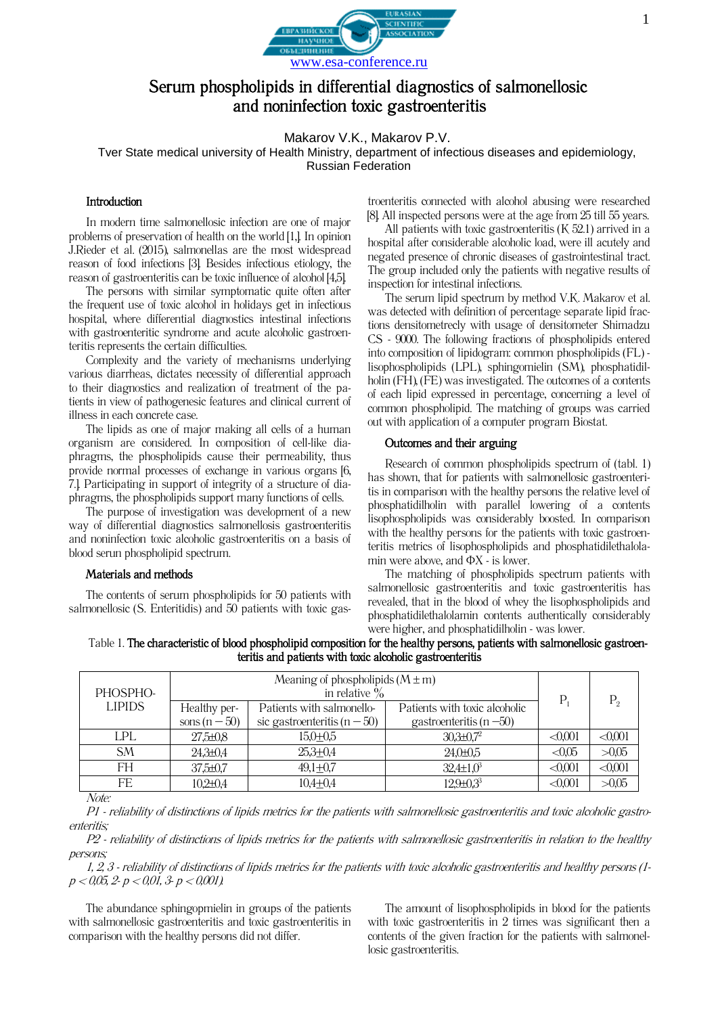

# Serum phospholipids in differential diagnostics of salmonellosic and noninfection toxic gastroenteritis

Makarov V.K., Makarov P.V.

Tver State medical university of Health Ministry, department of infectious diseases and epidemiology, Russian Federation

## **Introduction**

In modern time salmonellosic infection are one of major problems of preservation of health on the world [1,]. In opinion J.Rieder et al. (2015), salmonellas are the most widespread reason of food infections [3]. Besides infectious etiology, the reason of gastroenteritis can be toxic influence of alcohol [4,5].

The persons with similar symptomatic quite often after the frequent use of toxic alcohol in holidays get in infectious hospital, where differential diagnostics intestinal infections with gastroenteritic syndrome and acute alcoholic gastroenteritis represents the certain difficulties.

Complexity and the variety of mechanisms underlying various diarrheas, dictates necessity of differential approach to their diagnostics and realization of treatment of the patients in view of pathogenesic features and clinical current of illness in each concrete case.

The lipids as one of major making all cells of a human organism are considered. In composition of cell-like diaphragms, the phospholipids cause their permeability, thus provide normal processes of exchange in various organs [6, 7.]. Participating in support of integrity of a structure of diaphragms, the phospholipids support many functions of cells.

The purpose of investigation was development of a new way of differential diagnostics salmonellosis gastroenteritis and noninfection toxic alcoholic gastroenteritis on a basis of blood serun phospholipid spectrum.

### Materials and methods

The contents of serum phospholipids for 50 patients with salmonellosic (S. Enteritidis) and 50 patients with toxic gas-

troenteritis connected with alcohol abusing were researched [8]. All inspected persons were at the age from 25 till 55 years.

All patients with toxic gastroenteritis  $(K 52.1)$  arrived in a hospital after considerable alcoholic load, were ill acutely and negated presence of chronic diseases of gastrointestinal tract. The group included only the patients with negative results of inspection for intestinal infections.

The serum lipid spectrum by method V.K. Makarov et al. was detected with definition of percentage separate lipid fractions densitometrecly with usage of densitometer Shimadzu CS - 9000. The following fractions of phospholipids entered into composition of lipidogram: common phospholipids (FL) lisophospholipids (LPL), sphingomielin (SM), phosphatidilholin (FH), (FE) was investigated. The outcomes of a contents of each lipid expressed in percentage, concerning a level of common phospholipid. The matching of groups was carried out with application of a computer program Biostat.

# Outcomes and their arguing

Research of common phospholipids spectrum of (tabl. 1) has shown, that for patients with salmonellosic gastroenteritis in comparison with the healthy persons the relative level of phosphatidilholin with parallel lowering of a contents lisophospholipids was considerably boosted. In comparison with the healthy persons for the patients with toxic gastroenteritis metrics of lisophospholipids and phosphatidilethalolamin were above, and  $\Phi$ X - is lower.

The matching of phospholipids spectrum patients with salmonellosic gastroenteritis and toxic gastroenteritis has revealed, that in the blood of whey the lisophospholipids and phosphatidilethalolamin contents authentically considerably were higher, and phosphatidilholin - was lower.

| Table 1. The characteristic of blood phospholipid composition for the healthy persons, patients with salmonellosic gastroen- |
|------------------------------------------------------------------------------------------------------------------------------|
| teritis and patients with toxic alcoholic gastroenteritis                                                                    |

| PHOSPHO-<br><b>LIPIDS</b> | Meaning of phospholipids $(M \pm m)$<br>in relative $\%$ |                                  |                               | $\mathbf{P}$ |                |
|---------------------------|----------------------------------------------------------|----------------------------------|-------------------------------|--------------|----------------|
|                           | Healthy per-                                             | Patients with salmonello-        | Patients with toxic alcoholic |              | P <sub>2</sub> |
|                           | sons $(n-50)$                                            | sic gastroenteritis ( $n - 50$ ) | gastroenteritis (n $-50$ )    |              |                |
| <b>LPL</b>                | $27,5 \pm 0.8$                                           | $15,0+0,5$                       | $30,3{\pm}0,7^2$              | $\leq 0.001$ | <0,001         |
| <b>SM</b>                 | $24,3{\pm}0,4$                                           | $25,3+0,4$                       | $24,0+0,5$                    | < 0.05       | >0,05          |
| FH                        | $37,5 \pm 0.7$                                           | $49,1+0,7$                       | $32,4\pm1,0^3$                | $\leq 0.001$ | < 0,001        |
| FE                        | $10,2{\pm}0,4$                                           | $10,4 + 0,4$                     | $12,9 \pm 0,3^3$              | $\leq 0.001$ | >0,05          |

Note:

P1 - reliability of distinctions of lipids metrics for the patients with salmonellosic gastroenteritis and toxic alcoholic gastroenteritis;

Р2 - reliability of distinctions of lipids metrics for the patients with salmonellosic gastroenteritis in relation to the healthy persons;

1, 2, 3 - reliability of distinctions of lipids metrics for the patients with toxic alcoholic gastroenteritis and healthy persons (1  $p < 0.05$ , 2- $p < 0.01$ , 3- $p < 0.001$ ).

The abundance sphingopmielin in groups of the patients with salmonellosic gastroenteritis and toxic gastroenteritis in comparison with the healthy persons did not differ.

The amount of lisophospholipids in blood for the patients with toxic gastroenteritis in 2 times was significant then a contents of the given fraction for the patients with salmonellosic gastroenteritis.